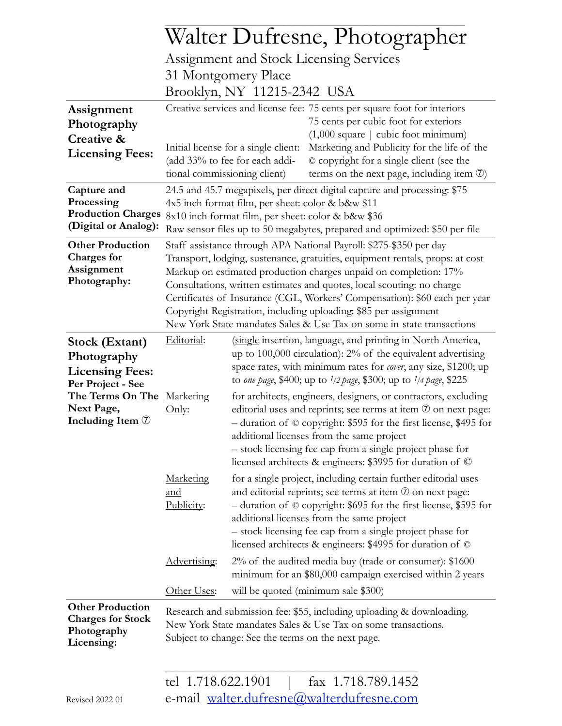|                                                                                  | Walter Dufresne, Photographer                                                                                                                                                                                                                                                                                                                                                                                                                                                                                                |                                                                                                                                                                                                                                                                                                                                                                                           |                                                                                                                                                                                                                                                                                                                                                                                    |  |  |  |  |  |  |
|----------------------------------------------------------------------------------|------------------------------------------------------------------------------------------------------------------------------------------------------------------------------------------------------------------------------------------------------------------------------------------------------------------------------------------------------------------------------------------------------------------------------------------------------------------------------------------------------------------------------|-------------------------------------------------------------------------------------------------------------------------------------------------------------------------------------------------------------------------------------------------------------------------------------------------------------------------------------------------------------------------------------------|------------------------------------------------------------------------------------------------------------------------------------------------------------------------------------------------------------------------------------------------------------------------------------------------------------------------------------------------------------------------------------|--|--|--|--|--|--|
|                                                                                  | Assignment and Stock Licensing Services                                                                                                                                                                                                                                                                                                                                                                                                                                                                                      |                                                                                                                                                                                                                                                                                                                                                                                           |                                                                                                                                                                                                                                                                                                                                                                                    |  |  |  |  |  |  |
|                                                                                  | 31 Montgomery Place                                                                                                                                                                                                                                                                                                                                                                                                                                                                                                          |                                                                                                                                                                                                                                                                                                                                                                                           |                                                                                                                                                                                                                                                                                                                                                                                    |  |  |  |  |  |  |
|                                                                                  | Brooklyn, NY 11215-2342 USA                                                                                                                                                                                                                                                                                                                                                                                                                                                                                                  |                                                                                                                                                                                                                                                                                                                                                                                           |                                                                                                                                                                                                                                                                                                                                                                                    |  |  |  |  |  |  |
| Assignment<br>Photography<br>Creative &<br><b>Licensing Fees:</b>                | tional commissioning client)                                                                                                                                                                                                                                                                                                                                                                                                                                                                                                 | Initial license for a single client:<br>(add 33% to fee for each addi-                                                                                                                                                                                                                                                                                                                    | Creative services and license fee: 75 cents per square foot for interiors<br>75 cents per cubic foot for exteriors<br>$(1,000 \text{ square} \mid \text{ cubic foot minimum})$<br>Marketing and Publicity for the life of the<br>© copyright for a single client (see the<br>terms on the next page, including item $\mathcal{D}$ )                                                |  |  |  |  |  |  |
| Capture and<br>Processing<br><b>Production Charges</b><br>(Digital or Analog):   | 24.5 and 45.7 megapixels, per direct digital capture and processing: \$75<br>4x5 inch format film, per sheet: color & b&w \$11<br>8x10 inch format film, per sheet: color & b&w \$36<br>Raw sensor files up to 50 megabytes, prepared and optimized: \$50 per file                                                                                                                                                                                                                                                           |                                                                                                                                                                                                                                                                                                                                                                                           |                                                                                                                                                                                                                                                                                                                                                                                    |  |  |  |  |  |  |
| <b>Other Production</b><br><b>Charges for</b><br>Assignment<br>Photography:      | Staff assistance through APA National Payroll: \$275-\$350 per day<br>Transport, lodging, sustenance, gratuities, equipment rentals, props: at cost<br>Markup on estimated production charges unpaid on completion: 17%<br>Consultations, written estimates and quotes, local scouting: no charge<br>Certificates of Insurance (CGL, Workers' Compensation): \$60 each per year<br>Copyright Registration, including uploading: \$85 per assignment<br>New York State mandates Sales & Use Tax on some in-state transactions |                                                                                                                                                                                                                                                                                                                                                                                           |                                                                                                                                                                                                                                                                                                                                                                                    |  |  |  |  |  |  |
| Stock (Extant)<br>Photography<br><b>Licensing Fees:</b><br>Per Project - See     | Editorial:                                                                                                                                                                                                                                                                                                                                                                                                                                                                                                                   |                                                                                                                                                                                                                                                                                                                                                                                           | (single insertion, language, and printing in North America,<br>up to $100,000$ circulation): $2\%$ of the equivalent advertising<br>space rates, with minimum rates for cover, any size, \$1200; up<br>to one page, \$400; up to 1/2 page, \$300; up to 1/4 page, \$225                                                                                                            |  |  |  |  |  |  |
| The Terms On The Marketing<br>Next Page,<br>Including Item $\circled{1}$         | Only:                                                                                                                                                                                                                                                                                                                                                                                                                                                                                                                        | for architects, engineers, designers, or contractors, excluding<br>editorial uses and reprints; see terms at item $\mathcal{D}$ on next page:<br>- duration of © copyright: \$595 for the first license, \$495 for<br>additional licenses from the same project<br>- stock licensing fee cap from a single project phase for<br>licensed architects & engineers: \$3995 for duration of © |                                                                                                                                                                                                                                                                                                                                                                                    |  |  |  |  |  |  |
|                                                                                  | Marketing<br>and<br>Publicity:                                                                                                                                                                                                                                                                                                                                                                                                                                                                                               |                                                                                                                                                                                                                                                                                                                                                                                           | for a single project, including certain further editorial uses<br>and editorial reprints; see terms at item $\mathcal D$ on next page:<br>- duration of © copyright: \$695 for the first license, \$595 for<br>additional licenses from the same project<br>- stock licensing fee cap from a single project phase for<br>licensed architects & engineers: \$4995 for duration of © |  |  |  |  |  |  |
|                                                                                  | Advertising:                                                                                                                                                                                                                                                                                                                                                                                                                                                                                                                 |                                                                                                                                                                                                                                                                                                                                                                                           | $2\%$ of the audited media buy (trade or consumer): \$1600<br>minimum for an \$80,000 campaign exercised within 2 years                                                                                                                                                                                                                                                            |  |  |  |  |  |  |
|                                                                                  | Other Uses:                                                                                                                                                                                                                                                                                                                                                                                                                                                                                                                  |                                                                                                                                                                                                                                                                                                                                                                                           | will be quoted (minimum sale \$300)                                                                                                                                                                                                                                                                                                                                                |  |  |  |  |  |  |
| <b>Other Production</b><br><b>Charges for Stock</b><br>Photography<br>Licensing: | Research and submission fee: \$55, including uploading & downloading.<br>New York State mandates Sales & Use Tax on some transactions.<br>Subject to change: See the terms on the next page.                                                                                                                                                                                                                                                                                                                                 |                                                                                                                                                                                                                                                                                                                                                                                           |                                                                                                                                                                                                                                                                                                                                                                                    |  |  |  |  |  |  |
|                                                                                  | tel 1.718.622.1901                                                                                                                                                                                                                                                                                                                                                                                                                                                                                                           |                                                                                                                                                                                                                                                                                                                                                                                           | fax 1.718.789.1452<br>e-mail walter.dufresne@walterdufresne.com                                                                                                                                                                                                                                                                                                                    |  |  |  |  |  |  |
| Revised 2022 01                                                                  |                                                                                                                                                                                                                                                                                                                                                                                                                                                                                                                              |                                                                                                                                                                                                                                                                                                                                                                                           |                                                                                                                                                                                                                                                                                                                                                                                    |  |  |  |  |  |  |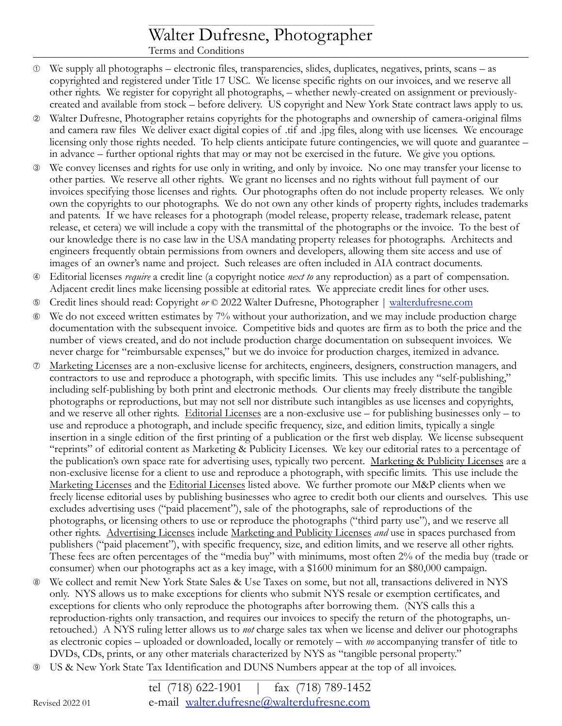## \_\_\_\_\_\_\_\_\_\_\_\_\_\_\_\_\_\_\_\_\_\_\_\_\_\_\_\_\_\_\_\_\_\_\_\_\_\_\_\_\_\_\_\_\_\_\_\_\_\_\_\_\_\_\_\_\_\_\_\_\_\_\_\_\_\_\_\_\_\_\_\_\_\_\_\_\_\_\_\_\_\_ Walter Dufresne, Photographer

Terms and Conditions

- ➀ We supply all photographs electronic files, transparencies, slides, duplicates, negatives, prints, scans as copyrighted and registered under Title 17 USC. We license specific rights on our invoices, and we reserve all other rights. We register for copyright all photographs, – whether newly-created on assignment or previouslycreated and available from stock – before delivery. US copyright and New York State contract laws apply to us.
- ➁ Walter Dufresne, Photographer retains copyrights for the photographs and ownership of camera-original films and camera raw files We deliver exact digital copies of .tif and .jpg files, along with use licenses. We encourage licensing only those rights needed. To help clients anticipate future contingencies, we will quote and guarantee – in advance – further optional rights that may or may not be exercised in the future. We give you options.
- ➂ We convey licenses and rights for use only in writing, and only by invoice. No one may transfer your license to other parties. We reserve all other rights. We grant no licenses and no rights without full payment of our invoices specifying those licenses and rights. Our photographs often do not include property releases. We only own the copyrights to our photographs. We do not own any other kinds of property rights, includes trademarks and patents. If we have releases for a photograph (model release, property release, trademark release, patent release, et cetera) we will include a copy with the transmittal of the photographs or the invoice. To the best of our knowledge there is no case law in the USA mandating property releases for photographs. Architects and engineers frequently obtain permissions from owners and developers, allowing them site access and use of images of an owner's name and project. Such releases are often included in AIA contract documents.
- ➃ Editorial licenses *require* a credit line (a copyright notice *next to* any reproduction) as a part of compensation. Adjacent credit lines make licensing possible at editorial rates. We appreciate credit lines for other uses.
- ➄ Credit lines should read: Copyright *or* © 2022 Walter Dufresne, Photographer | [walterdufresne.com](mailto:walter.dufresne@walterdufresne.com)
- ➅ We do not exceed written estimates by 7% without your authorization, and we may include production charge documentation with the subsequent invoice. Competitive bids and quotes are firm as to both the price and the number of views created, and do not include production charge documentation on subsequent invoices. We never charge for "reimbursable expenses," but we do invoice for production charges, itemized in advance.
- ➆ Marketing Licenses are a non-exclusive license for architects, engineers, designers, construction managers, and contractors to use and reproduce a photograph, with specific limits. This use includes any "self-publishing," including self-publishing by both print and electronic methods. Our clients may freely distribute the tangible photographs or reproductions, but may not sell nor distribute such intangibles as use licenses and copyrights, and we reserve all other rights. Editorial Licenses are a non-exclusive use – for publishing businesses only – to use and reproduce a photograph, and include specific frequency, size, and edition limits, typically a single insertion in a single edition of the first printing of a publication or the first web display. We license subsequent "reprints" of editorial content as Marketing & Publicity Licenses. We key our editorial rates to a percentage of the publication's own space rate for advertising uses, typically two percent. Marketing & Publicity Licenses are a non-exclusive license for a client to use and reproduce a photograph, with specific limits. This use include the Marketing Licenses and the Editorial Licenses listed above. We further promote our M&P clients when we freely license editorial uses by publishing businesses who agree to credit both our clients and ourselves. This use excludes advertising uses ("paid placement"), sale of the photographs, sale of reproductions of the photographs, or licensing others to use or reproduce the photographs ("third party use"), and we reserve all other rights. Advertising Licenses include Marketing and Publicity Licenses *and* use in spaces purchased from publishers ("paid placement"), with specific frequency, size, and edition limits, and we reserve all other rights. These fees are often percentages of the "media buy" with minimums, most often 2% of the media buy (trade or consumer) when our photographs act as a key image, with a \$1600 minimum for an \$80,000 campaign.
- ➇ We collect and remit New York State Sales & Use Taxes on some, but not all, transactions delivered in NYS only. NYS allows us to make exceptions for clients who submit NYS resale or exemption certificates, and exceptions for clients who only reproduce the photographs after borrowing them. (NYS calls this a reproduction-rights only transaction, and requires our invoices to specify the return of the photographs, unretouched.) A NYS ruling letter allows us to *not* charge sales tax when we license and deliver our photographs as electronic copies – uploaded or downloaded, locally or remotely – with *no* accompanying transfer of title to DVDs, CDs, prints, or any other materials characterized by NYS as "tangible personal property."
- ➈ US & New York State Tax Identification and DUNS Numbers appear at the top of all invoices.